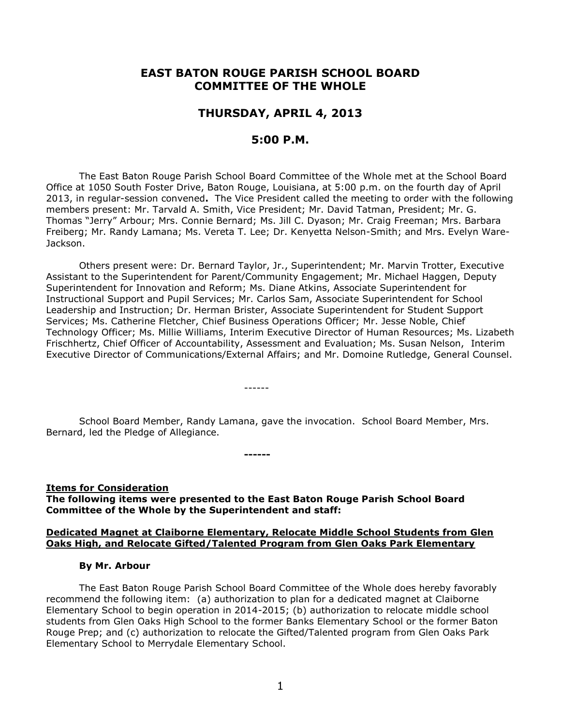# **EAST BATON ROUGE PARISH SCHOOL BOARD COMMITTEE OF THE WHOLE**

## **THURSDAY, APRIL 4, 2013**

## **5:00 P.M.**

The East Baton Rouge Parish School Board Committee of the Whole met at the School Board Office at 1050 South Foster Drive, Baton Rouge, Louisiana, at 5:00 p.m. on the fourth day of April 2013, in regular-session convened**.** The Vice President called the meeting to order with the following members present: Mr. Tarvald A. Smith, Vice President; Mr. David Tatman, President; Mr. G. Thomas "Jerry" Arbour; Mrs. Connie Bernard; Ms. Jill C. Dyason; Mr. Craig Freeman; Mrs. Barbara Freiberg; Mr. Randy Lamana; Ms. Vereta T. Lee; Dr. Kenyetta Nelson-Smith; and Mrs. Evelyn Ware-Jackson.

Others present were: Dr. Bernard Taylor, Jr., Superintendent; Mr. Marvin Trotter, Executive Assistant to the Superintendent for Parent/Community Engagement; Mr. Michael Haggen, Deputy Superintendent for Innovation and Reform; Ms. Diane Atkins, Associate Superintendent for Instructional Support and Pupil Services; Mr. Carlos Sam, Associate Superintendent for School Leadership and Instruction; Dr. Herman Brister, Associate Superintendent for Student Support Services; Ms. Catherine Fletcher, Chief Business Operations Officer; Mr. Jesse Noble, Chief Technology Officer; Ms. Millie Williams, Interim Executive Director of Human Resources; Ms. Lizabeth Frischhertz, Chief Officer of Accountability, Assessment and Evaluation; Ms. Susan Nelson, Interim Executive Director of Communications/External Affairs; and Mr. Domoine Rutledge, General Counsel.

School Board Member, Randy Lamana, gave the invocation. School Board Member, Mrs. Bernard, led the Pledge of Allegiance.

------

**Items for Consideration The following items were presented to the East Baton Rouge Parish School Board Committee of the Whole by the Superintendent and staff:**

**------**

### **Dedicated Magnet at Claiborne Elementary, Relocate Middle School Students from Glen Oaks High, and Relocate Gifted/Talented Program from Glen Oaks Park Elementary**

#### **By Mr. Arbour**

The East Baton Rouge Parish School Board Committee of the Whole does hereby favorably recommend the following item: (a) authorization to plan for a dedicated magnet at Claiborne Elementary School to begin operation in 2014-2015; (b) authorization to relocate middle school students from Glen Oaks High School to the former Banks Elementary School or the former Baton Rouge Prep; and (c) authorization to relocate the Gifted/Talented program from Glen Oaks Park Elementary School to Merrydale Elementary School.